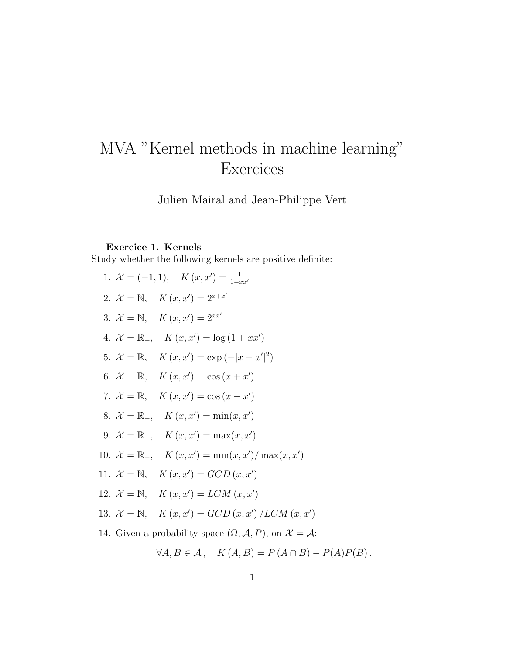# MVA "Kernel methods in machine learning" **Exercices**

Julien Mairal and Jean-Philippe Vert

# Exercice 1. Kernels

Study whether the following kernels are positive definite:

|  | 1. $\mathcal{X} = (-1, 1), K(x, x') = \frac{1}{1 - x x'}$                                   |
|--|---------------------------------------------------------------------------------------------|
|  | 2. $\mathcal{X} = \mathbb{N}, K(x, x') = 2^{x+x'}$                                          |
|  | 3. $\mathcal{X} = \mathbb{N}, K(x, x') = 2^{xx'}$                                           |
|  | 4. $\mathcal{X} = \mathbb{R}_+$ , $K(x, x') = \log(1 + xx')$                                |
|  | 5. $\mathcal{X} = \mathbb{R}, K(x, x') = \exp(- x - x' ^2)$                                 |
|  | 6. $\mathcal{X} = \mathbb{R}, K(x, x') = \cos(x + x')$                                      |
|  | 7. $\mathcal{X} = \mathbb{R}, \quad K(x, x') = \cos(x - x')$                                |
|  | 8. $\mathcal{X} = \mathbb{R}_+$ , $K(x, x') = \min(x, x')$                                  |
|  | 9. $\mathcal{X} = \mathbb{R}_+$ , $K(x, x') = \max(x, x')$                                  |
|  | 10. $\mathcal{X} = \mathbb{R}_+, K(x, x') = \min(x, x') / \max(x, x')$                      |
|  | 11. $\mathcal{X} = \mathbb{N}, K(x, x') = GCD(x, x')$                                       |
|  | 12. $\mathcal{X} = \mathbb{N}, K(x, x') = LCM(x, x')$                                       |
|  | 13. $\mathcal{X} = \mathbb{N}, K(x, x') = GCD(x, x') / LCM(x, x')$                          |
|  | 14. Given a probability space $(\Omega, \mathcal{A}, P)$ , on $\mathcal{X} = \mathcal{A}$ : |

$$
\forall A, B \in \mathcal{A}, \quad K(A, B) = P(A \cap B) - P(A)P(B).
$$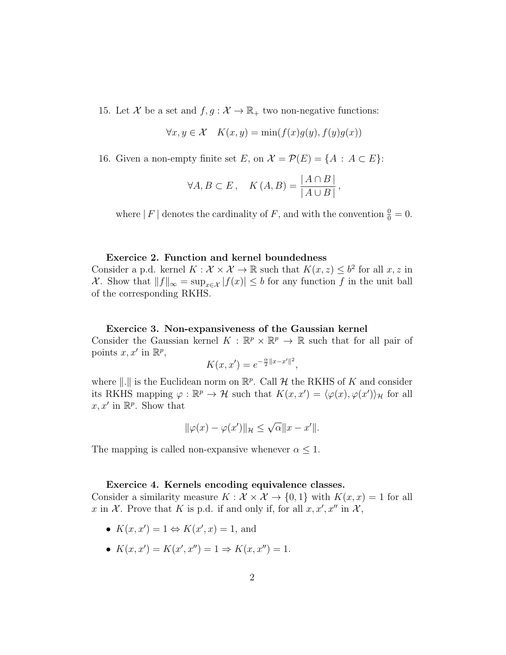15. Let X be a set and  $f, g: \mathcal{X} \to \mathbb{R}_+$  two non-negative functions:

$$
\forall x, y \in \mathcal{X} \quad K(x, y) = \min(f(x)g(y), f(y)g(x))
$$

16. Given a non-empty finite set E, on  $\mathcal{X} = \mathcal{P}(E) = \{A : A \subset E\}$ :

$$
\forall A, B \subset E \, , \quad K(A, B) = \frac{|A \cap B|}{|A \cup B|} \, ,
$$

where | F | denotes the cardinality of F, and with the convention  $\frac{0}{0} = 0$ .

#### Exercice 2. Function and kernel boundedness

Consider a p.d. kernel  $K: \mathcal{X} \times \mathcal{X} \to \mathbb{R}$  such that  $K(x, z) \leq b^2$  for all  $x, z$  in X. Show that  $||f||_{\infty} = \sup_{x \in \mathcal{X}} |f(x)| \leq b$  for any function f in the unit ball of the corresponding RKHS.

#### Exercice 3. Non-expansiveness of the Gaussian kernel

Consider the Gaussian kernel  $K : \mathbb{R}^p \times \mathbb{R}^p \to \mathbb{R}$  such that for all pair of points  $x, x'$  in  $\mathbb{R}^p$ ,

$$
K(x, x') = e^{-\frac{\alpha}{2}||x - x'||^2},
$$

where  $\|.\|$  is the Euclidean norm on  $\mathbb{R}^p$ . Call H the RKHS of K and consider its RKHS mapping  $\varphi : \mathbb{R}^p \to \mathcal{H}$  such that  $K(x, x') = \langle \varphi(x), \varphi(x') \rangle_{\mathcal{H}}$  for all  $x, x'$  in  $\mathbb{R}^p$ . Show that

$$
\|\varphi(x) - \varphi(x')\|_{\mathcal{H}} \le \sqrt{\alpha} \|x - x'\|.
$$

The mapping is called non-expansive whenever  $\alpha \leq 1$ .

#### Exercice 4. Kernels encoding equivalence classes.

Consider a similarity measure  $K : \mathcal{X} \times \mathcal{X} \to \{0,1\}$  with  $K(x,x) = 1$  for all x in X. Prove that K is p.d. if and only if, for all  $x, x', x''$  in X,

- $K(x, x') = 1 \Leftrightarrow K(x', x) = 1$ , and
- $K(x, x') = K(x', x'') = 1 \Rightarrow K(x, x'') = 1.$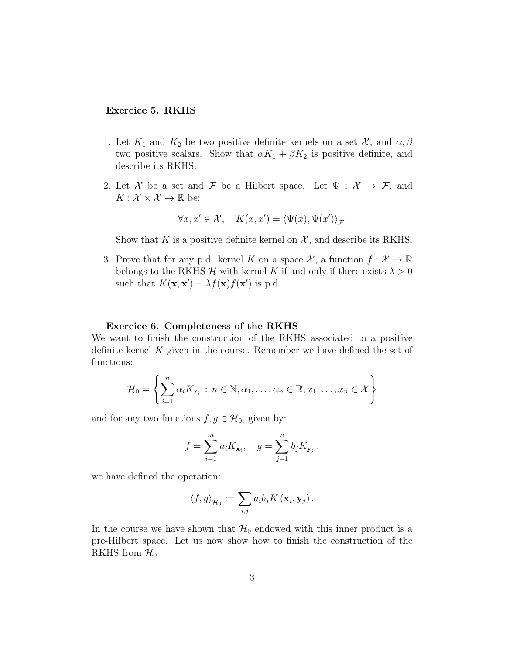#### Exercice 5. RKHS

- 1. Let  $K_1$  and  $K_2$  be two positive definite kernels on a set  $\mathcal{X}$ , and  $\alpha, \beta$ two positive scalars. Show that  $\alpha K_1 + \beta K_2$  is positive definite, and describe its RKHS.
- 2. Let X be a set and F be a Hilbert space. Let  $\Psi : \mathcal{X} \to \mathcal{F}$ , and  $K: \mathcal{X} \times \mathcal{X} \to \mathbb{R}$  be:

$$
\forall x, x' \in \mathcal{X}, \quad K(x, x') = \langle \Psi(x), \Psi(x') \rangle_{\mathcal{F}}.
$$

Show that K is a positive definite kernel on  $\mathcal{X}$ , and describe its RKHS.

3. Prove that for any p.d. kernel K on a space  $\mathcal{X}$ , a function  $f: \mathcal{X} \to \mathbb{R}$ belongs to the RKHS  $\mathcal H$  with kernel K if and only if there exists  $\lambda > 0$ such that  $K(\mathbf{x}, \mathbf{x}') - \lambda f(\mathbf{x}) f(\mathbf{x}')$  is p.d.

#### Exercice 6. Completeness of the RKHS

We want to finish the construction of the RKHS associated to a positive definite kernel  $K$  given in the course. Remember we have defined the set of functions:

$$
\mathcal{H}_0 = \left\{ \sum_{i=1}^n \alpha_i K_{x_i} : n \in \mathbb{N}, \alpha_1, \dots, \alpha_n \in \mathbb{R}, x_1, \dots, x_n \in \mathcal{X} \right\}
$$

and for any two functions  $f, g \in \mathcal{H}_0$ , given by:

$$
f = \sum_{i=1}^{m} a_i K_{\mathbf{x}_i}, \quad g = \sum_{j=1}^{n} b_j K_{\mathbf{y}_j},
$$

we have defined the operation:

$$
\langle f, g \rangle_{\mathcal{H}_0} := \sum_{i,j} a_i b_j K(\mathbf{x}_i, \mathbf{y}_j).
$$

In the course we have shown that  $\mathcal{H}_0$  endowed with this inner product is a pre-Hilbert space. Let us now show how to finish the construction of the RKHS from  $\mathcal{H}_0$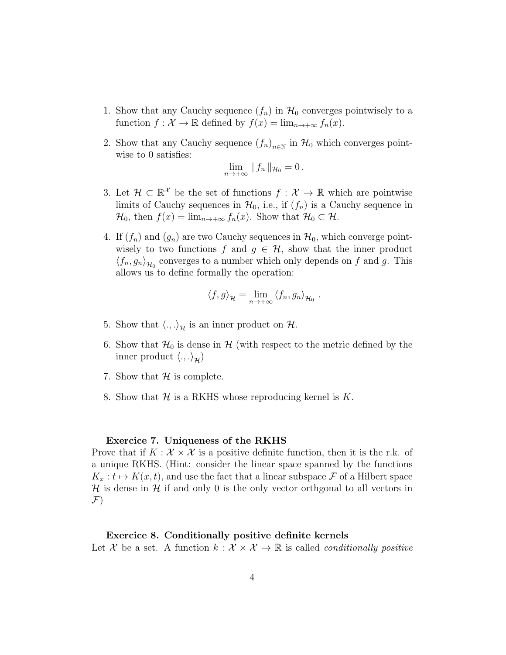- 1. Show that any Cauchy sequence  $(f_n)$  in  $\mathcal{H}_0$  converges pointwisely to a function  $f: \mathcal{X} \to \mathbb{R}$  defined by  $f(x) = \lim_{n \to +\infty} f_n(x)$ .
- 2. Show that any Cauchy sequence  $(f_n)_{n\in\mathbb{N}}$  in  $\mathcal{H}_0$  which converges pointwise to 0 satisfies:

$$
\lim_{n\to+\infty}\|f_n\|_{\mathcal{H}_0}=0\,.
$$

- 3. Let  $\mathcal{H} \subset \mathbb{R}^{\mathcal{X}}$  be the set of functions  $f: \mathcal{X} \to \mathbb{R}$  which are pointwise limits of Cauchy sequences in  $\mathcal{H}_0$ , i.e., if  $(f_n)$  is a Cauchy sequence in  $\mathcal{H}_0$ , then  $f(x) = \lim_{n \to +\infty} f_n(x)$ . Show that  $\mathcal{H}_0 \subset \mathcal{H}$ .
- 4. If  $(f_n)$  and  $(g_n)$  are two Cauchy sequences in  $\mathcal{H}_0$ , which converge pointwisely to two functions f and  $g \in \mathcal{H}$ , show that the inner product  $\langle f_n, g_n \rangle_{\mathcal{H}_0}$  converges to a number which only depends on f and g. This allows us to define formally the operation:

$$
\langle f, g \rangle_{\mathcal{H}} = \lim_{n \to +\infty} \langle f_n, g_n \rangle_{\mathcal{H}_0} .
$$

- 5. Show that  $\langle ., . \rangle_{\mathcal{H}}$  is an inner product on  $\mathcal{H}$ .
- 6. Show that  $\mathcal{H}_0$  is dense in  $\mathcal{H}$  (with respect to the metric defined by the inner product  $\langle ., . \rangle_{\mathcal{H}}$ )
- 7. Show that  $H$  is complete.
- 8. Show that  $\mathcal H$  is a RKHS whose reproducing kernel is K.

#### Exercice 7. Uniqueness of the RKHS

Prove that if  $K : \mathcal{X} \times \mathcal{X}$  is a positive definite function, then it is the r.k. of a unique RKHS. (Hint: consider the linear space spanned by the functions  $K_x : t \mapsto K(x, t)$ , and use the fact that a linear subspace F of a Hilbert space  $\mathcal H$  is dense in  $\mathcal H$  if and only 0 is the only vector orthgonal to all vectors in  $\mathcal{F})$ 

#### Exercice 8. Conditionally positive definite kernels

Let X be a set. A function  $k : \mathcal{X} \times \mathcal{X} \to \mathbb{R}$  is called *conditionally positive*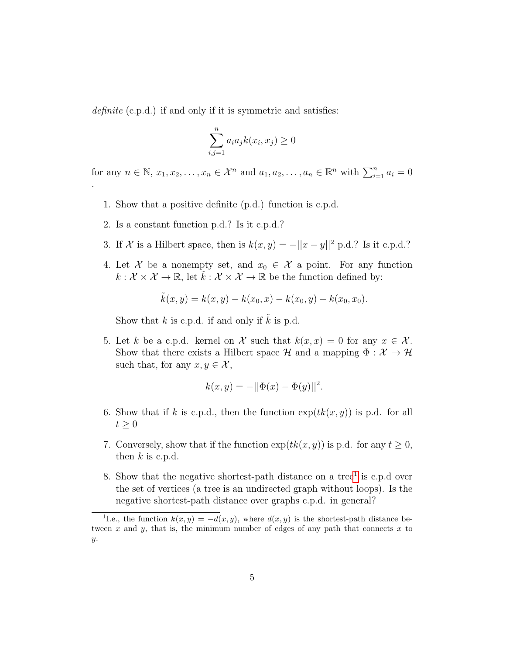definite (c.p.d.) if and only if it is symmetric and satisfies:

$$
\sum_{i,j=1}^{n} a_i a_j k(x_i, x_j) \ge 0
$$

for any  $n \in \mathbb{N}, x_1, x_2, \ldots, x_n \in \mathcal{X}^n$  and  $a_1, a_2, \ldots, a_n \in \mathbb{R}^n$  with  $\sum_{i=1}^n a_i = 0$ .

- 1. Show that a positive definite (p.d.) function is c.p.d.
- 2. Is a constant function p.d.? Is it c.p.d.?
- 3. If X is a Hilbert space, then is  $k(x, y) = -||x y||^2$  p.d.? Is it c.p.d.?
- 4. Let X be a nonempty set, and  $x_0 \in \mathcal{X}$  a point. For any function  $k: \mathcal{X} \times \mathcal{X} \to \mathbb{R}$ , let  $\tilde{k}: \mathcal{X} \times \mathcal{X} \to \mathbb{R}$  be the function defined by:

$$
\tilde{k}(x, y) = k(x, y) - k(x_0, x) - k(x_0, y) + k(x_0, x_0).
$$

Show that  $k$  is c.p.d. if and only if  $k$  is p.d.

5. Let k be a c.p.d. kernel on X such that  $k(x, x) = 0$  for any  $x \in \mathcal{X}$ . Show that there exists a Hilbert space  $\mathcal H$  and a mapping  $\Phi : \mathcal X \to \mathcal H$ such that, for any  $x, y \in \mathcal{X}$ ,

$$
k(x, y) = -||\Phi(x) - \Phi(y)||^2.
$$

- 6. Show that if k is c.p.d., then the function  $exp(tk(x, y))$  is p.d. for all  $t \geq 0$
- 7. Conversely, show that if the function  $\exp(tk(x, y))$  is p.d. for any  $t \geq 0$ , then  $k$  is c.p.d.
- 8. Show that the negative shortest-path distance on a tree<sup>[1](#page-4-0)</sup> is c.p.d over the set of vertices (a tree is an undirected graph without loops). Is the negative shortest-path distance over graphs c.p.d. in general?

<span id="page-4-0"></span><sup>&</sup>lt;sup>1</sup>I.e., the function  $k(x, y) = -d(x, y)$ , where  $d(x, y)$  is the shortest-path distance between  $x$  and  $y$ , that is, the minimum number of edges of any path that connects  $x$  to  $y.$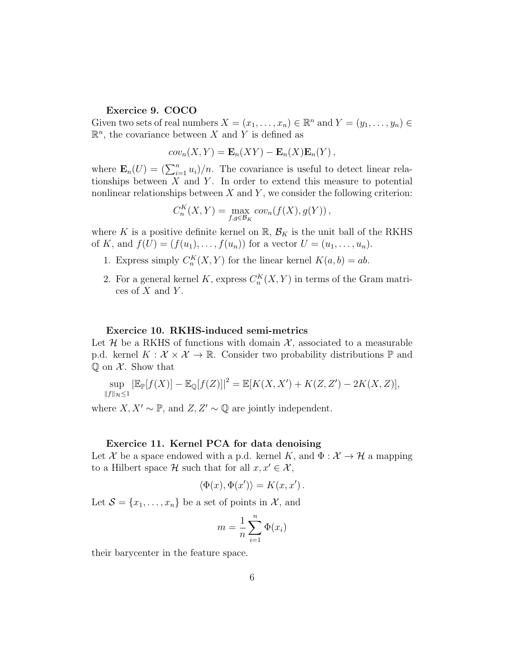### Exercice 9. COCO

Given two sets of real numbers  $X = (x_1, \ldots, x_n) \in \mathbb{R}^n$  and  $Y = (y_1, \ldots, y_n) \in$  $\mathbb{R}^n$ , the covariance between X and Y is defined as

$$
cov_n(X,Y) = \mathbf{E}_n(XY) - \mathbf{E}_n(X)\mathbf{E}_n(Y),
$$

where  $\mathbf{E}_n(U) = (\sum_{i=1}^n u_i)/n$ . The covariance is useful to detect linear relationships between  $X$  and  $Y$ . In order to extend this measure to potential nonlinear relationships between  $X$  and  $Y$ , we consider the following criterion:

$$
C_n^K(X,Y) = \max_{f,g \in \mathcal{B}_K} cov_n(f(X), g(Y)),
$$

where K is a positive definite kernel on  $\mathbb{R}$ ,  $\mathcal{B}_K$  is the unit ball of the RKHS of K, and  $f(U) = (f(u_1), \ldots, f(u_n))$  for a vector  $U = (u_1, \ldots, u_n)$ .

- 1. Express simply  $C_n^K(X,Y)$  for the linear kernel  $K(a,b) = ab$ .
- 2. For a general kernel K, express  $C_n^K(X, Y)$  in terms of the Gram matrices of  $X$  and  $Y$ .

#### Exercice 10. RKHS-induced semi-metrics

Let H be a RKHS of functions with domain  $\mathcal{X}$ , associated to a measurable p.d. kernel  $K: \mathcal{X} \times \mathcal{X} \to \mathbb{R}$ . Consider two probability distributions  $\mathbb{P}$  and  $\mathbb Q$  on  $\mathcal X$ . Show that

$$
\sup_{\|f\|_{\mathcal{H}}\leq 1} |\mathbb{E}_{\mathbb{P}}[f(X)] - \mathbb{E}_{\mathbb{Q}}[f(Z)]|^2 = \mathbb{E}[K(X, X') + K(Z, Z') - 2K(X, Z)],
$$

where  $X, X' \sim \mathbb{P}$ , and  $Z, Z' \sim \mathbb{Q}$  are jointly independent.

#### Exercice 11. Kernel PCA for data denoising

Let X be a space endowed with a p.d. kernel K, and  $\Phi : \mathcal{X} \to \mathcal{H}$  a mapping to a Hilbert space H such that for all  $x, x' \in \mathcal{X}$ ,

$$
\langle \Phi(x), \Phi(x') \rangle = K(x, x').
$$

Let  $S = \{x_1, \ldots, x_n\}$  be a set of points in X, and

$$
m = \frac{1}{n} \sum_{i=1}^{n} \Phi(x_i)
$$

their barycenter in the feature space.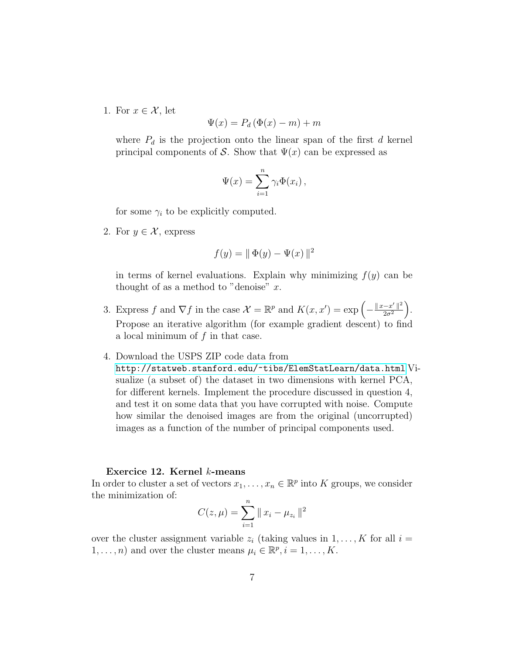1. For  $x \in \mathcal{X}$ , let

$$
\Psi(x) = P_d \left( \Phi(x) - m \right) + m
$$

where  $P_d$  is the projection onto the linear span of the first d kernel principal components of S. Show that  $\Psi(x)$  can be expressed as

$$
\Psi(x) = \sum_{i=1}^n \gamma_i \Phi(x_i) ,
$$

for some  $\gamma_i$  to be explicitly computed.

2. For  $y \in \mathcal{X}$ , express

$$
f(y) = || \Phi(y) - \Psi(x) ||^2
$$

in terms of kernel evaluations. Explain why minimizing  $f(y)$  can be thought of as a method to "denoise"  $x$ .

- 3. Express f and  $\nabla f$  in the case  $\mathcal{X} = \mathbb{R}^p$  and  $K(x, x') = \exp\left(-\frac{\|x x'\|^2}{2\sigma^2}\right)$  $\frac{-x'\parallel^2}{2\sigma^2}$ . Propose an iterative algorithm (for example gradient descent) to find a local minimum of  $f$  in that case.
- 4. Download the USPS ZIP code data from
	- <http://statweb.stanford.edu/~tibs/ElemStatLearn/data.html> Visualize (a subset of) the dataset in two dimensions with kernel PCA, for different kernels. Implement the procedure discussed in question 4, and test it on some data that you have corrupted with noise. Compute how similar the denoised images are from the original (uncorrupted) images as a function of the number of principal components used.

#### Exercice 12. Kernel k-means

In order to cluster a set of vectors  $x_1, \ldots, x_n \in \mathbb{R}^p$  into K groups, we consider the minimization of:

$$
C(z, \mu) = \sum_{i=1}^{n} ||x_i - \mu_{z_i}||^2
$$

over the cluster assignment variable  $z_i$  (taking values in  $1, \ldots, K$  for all  $i =$  $1, \ldots, n$ ) and over the cluster means  $\mu_i \in \mathbb{R}^p, i = 1, \ldots, K$ .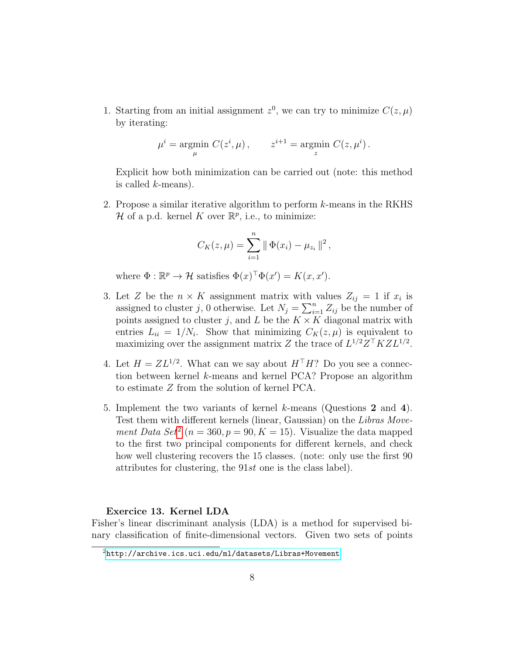1. Starting from an initial assignment  $z^0$ , we can try to minimize  $C(z, \mu)$ by iterating:

$$
\mu^i = \underset{\mu}{\text{argmin}} \ C(z^i, \mu) \,, \qquad z^{i+1} = \underset{z}{\text{argmin}} \ C(z, \mu^i) \,.
$$

Explicit how both minimization can be carried out (note: this method is called  $k$ -means).

2. Propose a similar iterative algorithm to perform k-means in the RKHS H of a p.d. kernel K over  $\mathbb{R}^p$ , i.e., to minimize:

$$
C_K(z,\mu) = \sum_{i=1}^n \|\Phi(x_i) - \mu_{z_i}\|^2,
$$

where  $\Phi : \mathbb{R}^p \to \mathcal{H}$  satisfies  $\Phi(x)^\top \Phi(x') = K(x, x')$ .

- 3. Let Z be the  $n \times K$  assignment matrix with values  $Z_{ij} = 1$  if  $x_i$  is assigned to cluster j, 0 otherwise. Let  $N_j = \sum_{i=1}^n Z_{ij}$  be the number of points assigned to cluster j, and L be the  $K \times K$  diagonal matrix with entries  $L_{ii} = 1/N_i$ . Show that minimizing  $C_K(z, \mu)$  is equivalent to maximizing over the assignment matrix Z the trace of  $L^{1/2}Z^{\top}KZL^{1/2}$ .
- 4. Let  $H = ZL^{1/2}$ . What can we say about  $H<sup>T</sup>H$ ? Do you see a connection between kernel k-means and kernel PCA? Propose an algorithm to estimate Z from the solution of kernel PCA.
- 5. Implement the two variants of kernel k-means (Questions 2 and 4). Test them with different kernels (linear, Gaussian) on the Libras Move-ment Data Set<sup>[2](#page-7-0)</sup> ( $n = 360, p = 90, K = 15$ ). Visualize the data mapped to the first two principal components for different kernels, and check how well clustering recovers the 15 classes. (note: only use the first 90 attributes for clustering, the 91st one is the class label).

## Exercice 13. Kernel LDA

Fisher's linear discriminant analysis (LDA) is a method for supervised binary classification of finite-dimensional vectors. Given two sets of points

<span id="page-7-0"></span> $2$ <http://archive.ics.uci.edu/ml/datasets/Libras+Movement>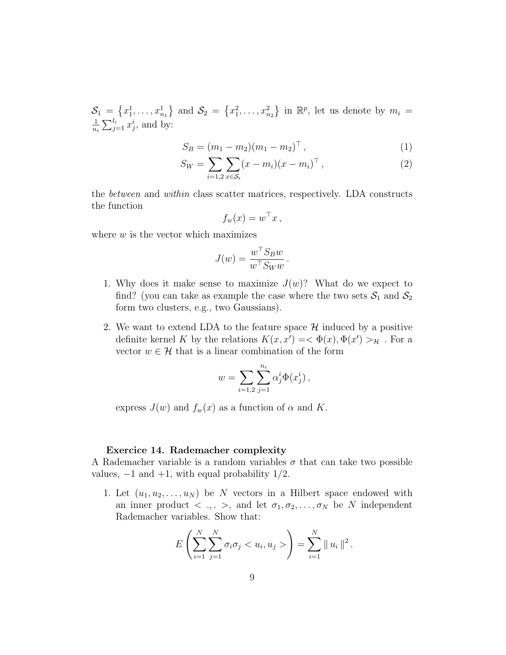$S_1 = \{x_1^1, \ldots, x_{n_1}^1\}$  and  $S_2 = \{x_1^2, \ldots, x_{n_2}^2\}$  in  $\mathbb{R}^p$ , let us denote by  $m_i =$ 1  $\frac{1}{n_i} \sum_{j=1}^{l_i} x_j^i$ , and by:

$$
S_B = (m_1 - m_2)(m_1 - m_2)^{\top}, \qquad (1)
$$

$$
S_W = \sum_{i=1,2} \sum_{x \in S_i} (x - m_i)(x - m_i)^\top , \qquad (2)
$$

the between and within class scatter matrices, respectively. LDA constructs the function

$$
f_w(x) = w^\top x\,,
$$

where  $w$  is the vector which maximizes

$$
J(w) = \frac{w^{\top} S_B w}{w^{\top} S_W w}.
$$

- 1. Why does it make sense to maximize  $J(w)$ ? What do we expect to find? (you can take as example the case where the two sets  $S_1$  and  $S_2$ form two clusters, e.g., two Gaussians).
- 2. We want to extend LDA to the feature space  $\mathcal H$  induced by a positive definite kernel K by the relations  $K(x, x') = \langle \Phi(x), \Phi(x') \rangle_{\mathcal{H}}$ . For a vector  $w \in \mathcal{H}$  that is a linear combination of the form

$$
w = \sum_{i=1,2} \sum_{j=1}^{n_i} \alpha_j^i \Phi(x_j^i) ,
$$

express  $J(w)$  and  $f_w(x)$  as a function of  $\alpha$  and K.

# Exercice 14. Rademacher complexity

A Rademacher variable is a random variables  $\sigma$  that can take two possible values,  $-1$  and  $+1$ , with equal probability  $1/2$ .

1. Let  $(u_1, u_2, \ldots, u_N)$  be N vectors in a Hilbert space endowed with an inner product  $\langle , \rangle$ ,  $\langle , \rangle$ , and let  $\sigma_1, \sigma_2, \ldots, \sigma_N$  be N independent Rademacher variables. Show that:

$$
E\left(\sum_{i=1}^N\sum_{j=1}^N\sigma_i\sigma_j < u_i, u_j > \right) = \sum_{i=1}^N \|u_i\|^2.
$$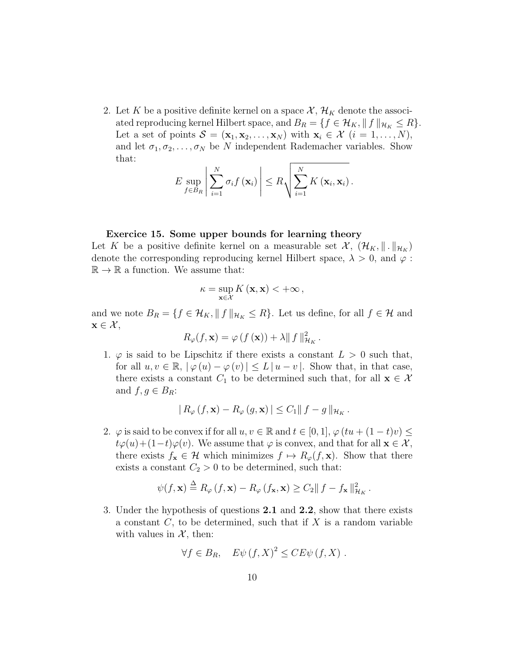2. Let K be a positive definite kernel on a space  $\mathcal{X}, \mathcal{H}_K$  denote the associated reproducing kernel Hilbert space, and  $B_R = \{f \in \mathcal{H}_K, ||f||_{\mathcal{H}_K} \leq R\}.$ Let a set of points  $\mathcal{S} = (\mathbf{x}_1, \mathbf{x}_2, \dots, \mathbf{x}_N)$  with  $\mathbf{x}_i \in \mathcal{X}$   $(i = 1, \dots, N)$ , and let  $\sigma_1, \sigma_2, \ldots, \sigma_N$  be N independent Rademacher variables. Show that:

$$
E \sup_{f \in B_R} \left| \sum_{i=1}^N \sigma_i f(\mathbf{x}_i) \right| \leq R \sqrt{\sum_{i=1}^N K(\mathbf{x}_i, \mathbf{x}_i)}.
$$

#### Exercice 15. Some upper bounds for learning theory

Let K be a positive definite kernel on a measurable set  $\mathcal{X}, (\mathcal{H}_K, \|\cdot\|_{\mathcal{H}_K})$ denote the corresponding reproducing kernel Hilbert space,  $\lambda > 0$ , and  $\varphi$ :  $\mathbb{R} \to \mathbb{R}$  a function. We assume that:

$$
\kappa = \sup_{\mathbf{x} \in \mathcal{X}} K(\mathbf{x}, \mathbf{x}) < +\infty ,
$$

and we note  $B_R = \{f \in \mathcal{H}_K, \|f\|_{\mathcal{H}_K} \leq R\}$ . Let us define, for all  $f \in \mathcal{H}$  and  $\mathbf{x} \in \mathcal{X},$ 

$$
R_{\varphi}(f, \mathbf{x}) = \varphi(f(\mathbf{x})) + \lambda \|f\|_{\mathcal{H}_K}^2.
$$

1.  $\varphi$  is said to be Lipschitz if there exists a constant  $L > 0$  such that, for all  $u, v \in \mathbb{R}, |\varphi(u) - \varphi(v)| \leq L |u - v|$ . Show that, in that case, there exists a constant  $C_1$  to be determined such that, for all  $\mathbf{x} \in \mathcal{X}$ and  $f, g \in B_R$ :

$$
|R_{\varphi}(f, \mathbf{x}) - R_{\varphi}(g, \mathbf{x})| \leq C_1 ||f - g||_{\mathcal{H}_K}.
$$

2.  $\varphi$  is said to be convex if for all  $u, v \in \mathbb{R}$  and  $t \in [0, 1], \varphi (tu + (1 - t)v) \le$  $t\varphi(u)+(1-t)\varphi(v)$ . We assume that  $\varphi$  is convex, and that for all  $\mathbf{x} \in \mathcal{X}$ , there exists  $f_{\mathbf{x}} \in \mathcal{H}$  which minimizes  $f \mapsto R_{\varphi}(f, \mathbf{x})$ . Show that there exists a constant  $C_2 > 0$  to be determined, such that:

$$
\psi(f, \mathbf{x}) \stackrel{\Delta}{=} R_{\varphi}(f, \mathbf{x}) - R_{\varphi}(f_{\mathbf{x}}, \mathbf{x}) \ge C_2 \|f - f_{\mathbf{x}}\|_{\mathcal{H}_K}^2.
$$

3. Under the hypothesis of questions 2.1 and 2.2, show that there exists a constant  $C$ , to be determined, such that if  $X$  is a random variable with values in  $\mathcal{X}$ , then:

$$
\forall f \in B_R, \quad E\psi(f, X)^2 \leq CE\psi(f, X) .
$$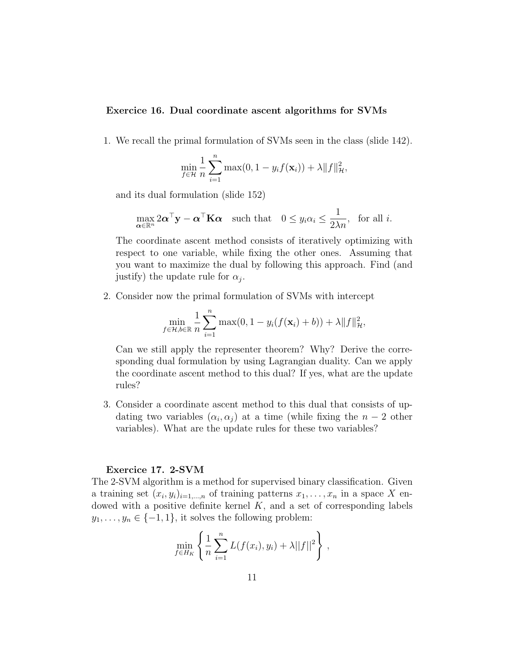# Exercice 16. Dual coordinate ascent algorithms for SVMs

1. We recall the primal formulation of SVMs seen in the class (slide 142).

$$
\min_{f \in \mathcal{H}} \frac{1}{n} \sum_{i=1}^{n} \max(0, 1 - y_i f(\mathbf{x}_i)) + \lambda \|f\|_{\mathcal{H}}^2,
$$

and its dual formulation (slide 152)

$$
\max_{\alpha \in \mathbb{R}^n} 2\alpha^{\top} \mathbf{y} - \alpha^{\top} \mathbf{K} \alpha \quad \text{such that} \quad 0 \le y_i \alpha_i \le \frac{1}{2\lambda n}, \text{ for all } i.
$$

The coordinate ascent method consists of iteratively optimizing with respect to one variable, while fixing the other ones. Assuming that you want to maximize the dual by following this approach. Find (and justify) the update rule for  $\alpha_j$ .

2. Consider now the primal formulation of SVMs with intercept

$$
\min_{f \in \mathcal{H}, b \in \mathbb{R}} \frac{1}{n} \sum_{i=1}^{n} \max(0, 1 - y_i(f(\mathbf{x}_i) + b)) + \lambda \|f\|_{\mathcal{H}}^2,
$$

Can we still apply the representer theorem? Why? Derive the corresponding dual formulation by using Lagrangian duality. Can we apply the coordinate ascent method to this dual? If yes, what are the update rules?

3. Consider a coordinate ascent method to this dual that consists of updating two variables  $(\alpha_i, \alpha_j)$  at a time (while fixing the  $n-2$  other variables). What are the update rules for these two variables?

#### Exercice 17. 2-SVM

The 2-SVM algorithm is a method for supervised binary classification. Given a training set  $(x_i, y_i)_{i=1,\dots,n}$  of training patterns  $x_1, \dots, x_n$  in a space X endowed with a positive definite kernel  $K$ , and a set of corresponding labels  $y_1, \ldots, y_n \in \{-1, 1\}$ , it solves the following problem:

$$
\min_{f \in H_K} \left\{ \frac{1}{n} \sum_{i=1}^n L(f(x_i), y_i) + \lambda ||f||^2 \right\},\,
$$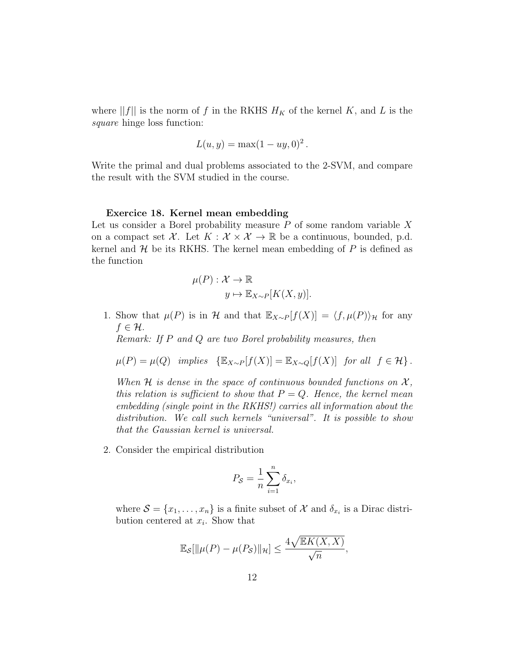where  $||f||$  is the norm of f in the RKHS  $H_K$  of the kernel K, and L is the square hinge loss function:

$$
L(u, y) = \max(1 - uy, 0)^2.
$$

Write the primal and dual problems associated to the 2-SVM, and compare the result with the SVM studied in the course.

#### Exercice 18. Kernel mean embedding

Let us consider a Borel probability measure  $P$  of some random variable  $X$ on a compact set X. Let  $K : \mathcal{X} \times \mathcal{X} \to \mathbb{R}$  be a continuous, bounded, p.d. kernel and  $H$  be its RKHS. The kernel mean embedding of  $P$  is defined as the function

$$
\mu(P) : \mathcal{X} \to \mathbb{R}
$$

$$
y \mapsto \mathbb{E}_{X \sim P}[K(X, y)].
$$

1. Show that  $\mu(P)$  is in H and that  $\mathbb{E}_{X\sim P}[f(X)] = \langle f, \mu(P) \rangle_{\mathcal{H}}$  for any  $f \in \mathcal{H}$ .

Remark: If P and Q are two Borel probability measures, then

$$
\mu(P) = \mu(Q) \quad implies \quad \{ \mathbb{E}_{X \sim P}[f(X)] = \mathbb{E}_{X \sim Q}[f(X)] \quad \text{for all} \quad f \in \mathcal{H} \}.
$$

When H is dense in the space of continuous bounded functions on  $\mathcal{X},$ this relation is sufficient to show that  $P = Q$ . Hence, the kernel mean embedding (single point in the RKHS!) carries all information about the distribution. We call such kernels "universal". It is possible to show that the Gaussian kernel is universal.

2. Consider the empirical distribution

$$
P_{\mathcal{S}} = \frac{1}{n} \sum_{i=1}^{n} \delta_{x_i},
$$

where  $S = \{x_1, \ldots, x_n\}$  is a finite subset of X and  $\delta_{x_i}$  is a Dirac distribution centered at  $x_i$ . Show that

$$
\mathbb{E}_{\mathcal{S}}[\|\mu(P) - \mu(P_{\mathcal{S}})\|_{\mathcal{H}}] \le \frac{4\sqrt{\mathbb{E}K(X,X)}}{\sqrt{n}},
$$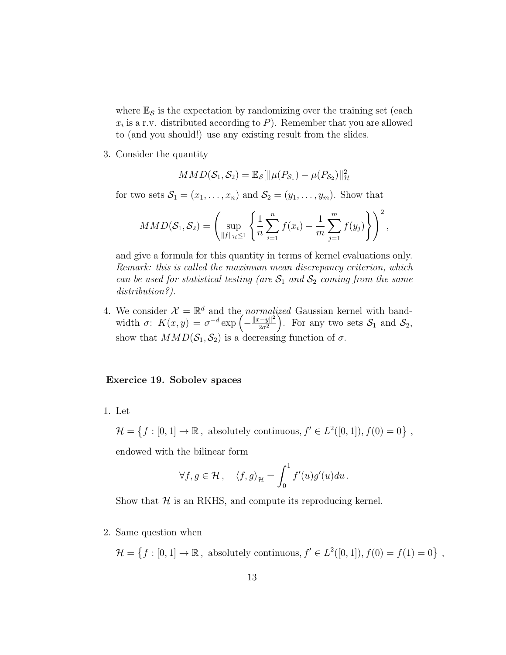where  $\mathbb{E}_{\mathcal{S}}$  is the expectation by randomizing over the training set (each  $x_i$  is a r.v. distributed according to P). Remember that you are allowed to (and you should!) use any existing result from the slides.

3. Consider the quantity

$$
MMD(S_1, S_2) = \mathbb{E}_{\mathcal{S}}[\|\mu(P_{S_1}) - \mu(P_{S_2})\|_{\mathcal{H}}^2
$$

for two sets  $S_1 = (x_1, \ldots, x_n)$  and  $S_2 = (y_1, \ldots, y_m)$ . Show that

$$
MMD(S_1, S_2) = \left(\sup_{\|f\|_{\mathcal{H}} \leq 1} \left\{\frac{1}{n} \sum_{i=1}^n f(x_i) - \frac{1}{m} \sum_{j=1}^m f(y_j) \right\}\right)^2,
$$

and give a formula for this quantity in terms of kernel evaluations only. Remark: this is called the maximum mean discrepancy criterion, which can be used for statistical testing (are  $S_1$  and  $S_2$  coming from the same distribution?).

4. We consider  $\mathcal{X} = \mathbb{R}^d$  and the *normalized* Gaussian kernel with bandwidth  $\sigma: K(x,y) = \sigma^{-d} \exp \left(-\frac{\|x-y\|^2}{2\sigma^2}\right)$  $\frac{z-y\|^2}{2\sigma^2}$ . For any two sets  $\mathcal{S}_1$  and  $\mathcal{S}_2$ , show that  $MMD(\mathcal{S}_1, \mathcal{S}_2)$  is a decreasing function of  $\sigma$ .

#### Exercice 19. Sobolev spaces

1. Let

 $\mathcal{H} = \{f : [0,1] \to \mathbb{R}, \text{ absolutely continuous}, f' \in L^2([0,1]), f(0) = 0\},\}$ 

endowed with the bilinear form

$$
\forall f, g \in \mathcal{H}, \quad \langle f, g \rangle_{\mathcal{H}} = \int_0^1 f'(u)g'(u)du.
$$

Show that  $H$  is an RKHS, and compute its reproducing kernel.

2. Same question when

 $\mathcal{H} = \{f : [0, 1] \to \mathbb{R}, \text{ absolutely continuous}, f' \in L^2([0, 1]), f(0) = f(1) = 0\},\}$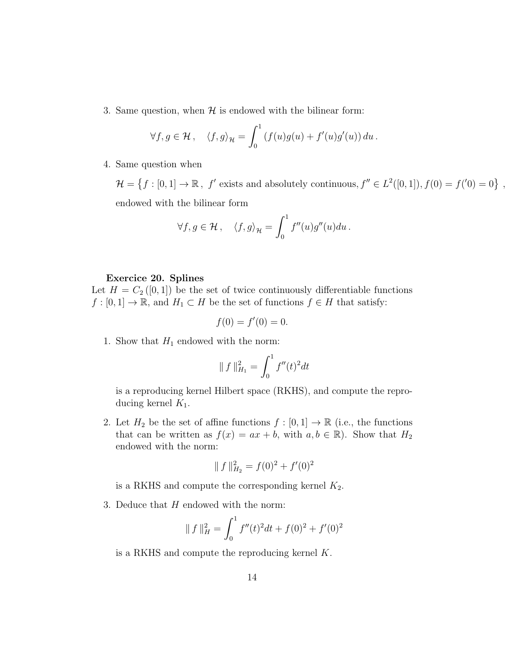3. Same question, when  $H$  is endowed with the bilinear form:

$$
\forall f, g \in \mathcal{H}, \quad \langle f, g \rangle_{\mathcal{H}} = \int_0^1 \left( f(u)g(u) + f'(u)g'(u) \right) du.
$$

4. Same question when

 $\mathcal{H} = \{f : [0,1] \to \mathbb{R}, f' \text{ exists and absolutely continuous}, f'' \in L^2([0,1]), f(0) = f'(0) = 0\},\$ endowed with the bilinear form

$$
\forall f, g \in \mathcal{H}, \quad \langle f, g \rangle_{\mathcal{H}} = \int_0^1 f''(u)g''(u)du.
$$

#### Exercice 20. Splines

Let  $H = C_2([0,1])$  be the set of twice continuously differentiable functions  $f : [0,1] \to \mathbb{R}$ , and  $H_1 \subset H$  be the set of functions  $f \in H$  that satisfy:

$$
f(0) = f'(0) = 0.
$$

1. Show that  $H_1$  endowed with the norm:

$$
\| f \|_{H_1}^2 = \int_0^1 f''(t)^2 dt
$$

is a reproducing kernel Hilbert space (RKHS), and compute the reproducing kernel  $K_1$ .

2. Let  $H_2$  be the set of affine functions  $f : [0,1] \to \mathbb{R}$  (i.e., the functions that can be written as  $f(x) = ax + b$ , with  $a, b \in \mathbb{R}$ ). Show that  $H_2$ endowed with the norm:

$$
\| f \|_{H_2}^2 = f(0)^2 + f'(0)^2
$$

is a RKHS and compute the corresponding kernel  $K_2$ .

3. Deduce that  $H$  endowed with the norm:

$$
\| f \|_{H}^{2} = \int_{0}^{1} f''(t)^{2} dt + f(0)^{2} + f'(0)^{2}
$$

is a RKHS and compute the reproducing kernel K.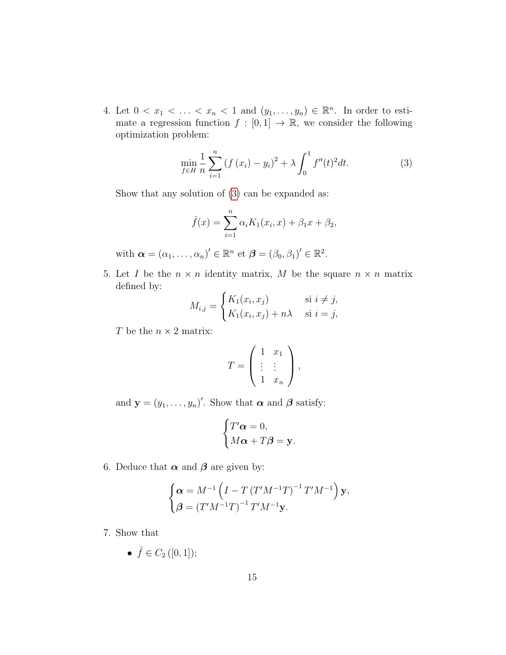4. Let  $0 < x_1 < \ldots < x_n < 1$  and  $(y_1, \ldots, y_n) \in \mathbb{R}^n$ . In order to estimate a regression function  $f : [0,1] \to \mathbb{R}$ , we consider the following optimization problem:

<span id="page-14-0"></span>
$$
\min_{f \in H} \frac{1}{n} \sum_{i=1}^{n} \left( f(x_i) - y_i \right)^2 + \lambda \int_0^1 f''(t)^2 dt.
$$
 (3)

Show that any solution of [\(3\)](#page-14-0) can be expanded as:

$$
\hat{f}(x) = \sum_{i=1}^{n} \alpha_i K_1(x_i, x) + \beta_1 x + \beta_2,
$$

with  $\boldsymbol{\alpha} = (\alpha_1, \dots, \alpha_n)' \in \mathbb{R}^n$  et  $\boldsymbol{\beta} = (\beta_0, \beta_1)' \in \mathbb{R}^2$ .

5. Let I be the  $n \times n$  identity matrix, M be the square  $n \times n$  matrix defined by:

$$
M_{i,j} = \begin{cases} K_1(x_i, x_j) & \text{si } i \neq j, \\ K_1(x_i, x_j) + n\lambda & \text{si } i = j, \end{cases}
$$

T be the  $n \times 2$  matrix:

$$
T = \left(\begin{array}{cc} 1 & x_1 \\ \vdots & \vdots \\ 1 & x_n \end{array}\right),
$$

and  $\mathbf{y} = (y_1, \dots, y_n)'$ . Show that  $\boldsymbol{\alpha}$  and  $\boldsymbol{\beta}$  satisfy:

$$
\begin{cases}\nT'\alpha = 0, \\
M\alpha + T\beta = \mathbf{y}.\n\end{cases}
$$

6. Deduce that  $\alpha$  and  $\beta$  are given by:

$$
\begin{cases} \alpha = M^{-1} \left( I - T \left( T' M^{-1} T \right)^{-1} T' M^{-1} \right) \mathbf{y}, \\ \beta = \left( T' M^{-1} T \right)^{-1} T' M^{-1} \mathbf{y}. \end{cases}
$$

7. Show that

$$
\bullet \ \hat{f} \in C_2([0,1]);
$$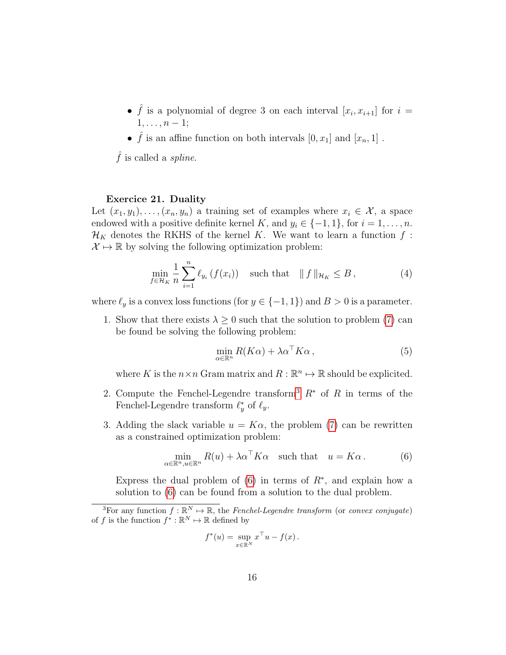- $\hat{f}$  is a polynomial of degree 3 on each interval  $[x_i, x_{i+1}]$  for  $i =$  $1, \ldots, n-1;$
- $\hat{f}$  is an affine function on both intervals  $[0, x_1]$  and  $[x_n, 1]$ .

 $\hat{f}$  is called a *spline*.

#### Exercice 21. Duality

 $\alpha$ 

Let  $(x_1, y_1), \ldots, (x_n, y_n)$  a training set of examples where  $x_i \in \mathcal{X}$ , a space endowed with a positive definite kernel K, and  $y_i \in \{-1, 1\}$ , for  $i = 1, \ldots, n$ .  $\mathcal{H}_K$  denotes the RKHS of the kernel K. We want to learn a function f:  $\mathcal{X} \mapsto \mathbb{R}$  by solving the following optimization problem:

$$
\min_{f \in \mathcal{H}_K} \frac{1}{n} \sum_{i=1}^n \ell_{y_i} \left( f(x_i) \right) \quad \text{such that} \quad || f ||_{\mathcal{H}_K} \leq B \,, \tag{4}
$$

where  $\ell_y$  is a convex loss functions (for  $y \in \{-1, 1\}$ ) and  $B > 0$  is a parameter.

1. Show that there exists  $\lambda \geq 0$  such that the solution to problem [\(7\)](#page-21-0) can be found be solving the following problem:

$$
\min_{\alpha \in \mathbb{R}^n} R(K\alpha) + \lambda \alpha^\top K\alpha \,,\tag{5}
$$

where K is the  $n \times n$  Gram matrix and  $R : \mathbb{R}^n \to \mathbb{R}$  should be explicited.

- 2. Compute the Fenchel-Legendre transform<sup>[3](#page-15-0)</sup>  $R^*$  of R in terms of the Fenchel-Legendre transform  $\ell_y^*$  of  $\ell_y$ .
- 3. Adding the slack variable  $u = K\alpha$ , the problem [\(7\)](#page-21-0) can be rewritten as a constrained optimization problem:

<span id="page-15-1"></span>
$$
\min_{\in \mathbb{R}^n, u \in \mathbb{R}^n} R(u) + \lambda \alpha^{\top} K \alpha \quad \text{such that} \quad u = K \alpha. \tag{6}
$$

Express the dual problem of  $(6)$  in terms of  $R^*$ , and explain how a solution to [\(6\)](#page-15-1) can be found from a solution to the dual problem.

$$
f^*(u) = \sup_{x \in \mathbb{R}^N} x^\top u - f(x).
$$

<span id="page-15-0"></span><sup>&</sup>lt;sup>3</sup>For any function  $f : \mathbb{R}^N \to \mathbb{R}$ , the Fenchel-Legendre transform (or convex conjugate) of f is the function  $f^* : \mathbb{R}^N \to \mathbb{R}$  defined by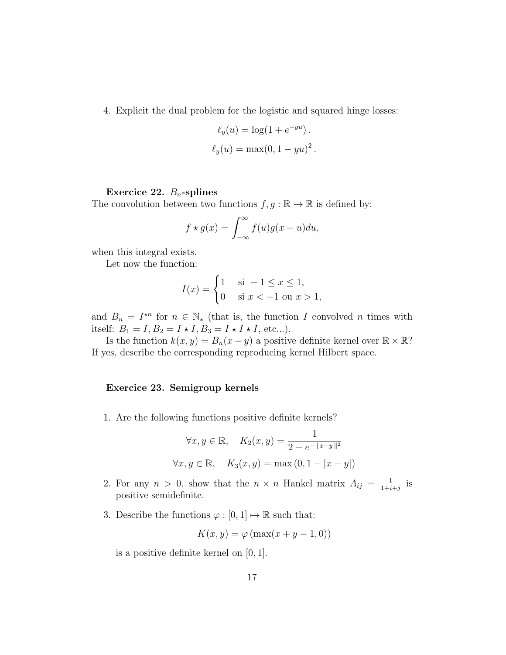4. Explicit the dual problem for the logistic and squared hinge losses:

$$
\ell_y(u) = \log(1 + e^{-yu}).
$$
  

$$
\ell_y(u) = \max(0, 1 - yu)^2.
$$

#### Exercice 22.  $B_n$ -splines

The convolution between two functions  $f, g : \mathbb{R} \to \mathbb{R}$  is defined by:

$$
f \star g(x) = \int_{-\infty}^{\infty} f(u)g(x-u)du,
$$

when this integral exists.

Let now the function:

$$
I(x) = \begin{cases} 1 & \text{si } -1 \le x \le 1, \\ 0 & \text{si } x < -1 \text{ ou } x > 1, \end{cases}
$$

and  $B_n = I^{\star n}$  for  $n \in \mathbb{N}^*$  (that is, the function I convolved n times with itself:  $B_1 = I, B_2 = I \star I, B_3 = I \star I \star I$ , etc...).

Is the function  $k(x, y) = B_n(x - y)$  a positive definite kernel over  $\mathbb{R} \times \mathbb{R}$ ? If yes, describe the corresponding reproducing kernel Hilbert space.

#### Exercice 23. Semigroup kernels

1. Are the following functions positive definite kernels?

$$
\forall x, y \in \mathbb{R}, \quad K_2(x, y) = \frac{1}{2 - e^{-\|x - y\|^2}}
$$

$$
\forall x, y \in \mathbb{R}, \quad K_3(x, y) = \max(0, 1 - |x - y|)
$$

- 2. For any  $n > 0$ , show that the  $n \times n$  Hankel matrix  $A_{ij} = \frac{1}{1+i}$  $\frac{1}{1+i+j}$  is positive semidefinite.
- 3. Describe the functions  $\varphi : [0,1] \mapsto \mathbb{R}$  such that:

$$
K(x, y) = \varphi(\max(x + y - 1, 0))
$$

is a positive definite kernel on [0, 1].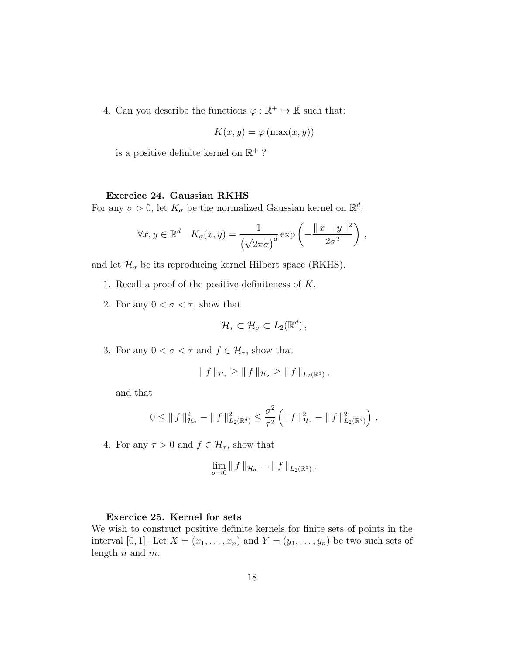4. Can you describe the functions  $\varphi : \mathbb{R}^+ \mapsto \mathbb{R}$  such that:

$$
K(x, y) = \varphi(\max(x, y))
$$

is a positive definite kernel on  $\mathbb{R}^+$  ?

#### Exercice 24. Gaussian RKHS

For any  $\sigma > 0$ , let  $K_{\sigma}$  be the normalized Gaussian kernel on  $\mathbb{R}^{d}$ .

$$
\forall x, y \in \mathbb{R}^d \quad K_{\sigma}(x, y) = \frac{1}{\left(\sqrt{2\pi}\sigma\right)^d} \exp\left(-\frac{\|x - y\|^2}{2\sigma^2}\right),
$$

and let  $\mathcal{H}_{\sigma}$  be its reproducing kernel Hilbert space (RKHS).

- 1. Recall a proof of the positive definiteness of  $K$ .
- 2. For any  $0 < \sigma < \tau$ , show that

$$
\mathcal{H}_{\tau}\subset\mathcal{H}_{\sigma}\subset L_2(\mathbb{R}^d)\,,
$$

3. For any  $0 < \sigma < \tau$  and  $f \in \mathcal{H}_{\tau}$ , show that

$$
\|f\|_{\mathcal{H}_{\tau}} \geq \|f\|_{\mathcal{H}_{\sigma}} \geq \|f\|_{L_2(\mathbb{R}^d)},
$$

and that

$$
0 \leq || f ||_{\mathcal{H}_{\sigma}}^2 - || f ||_{L_2(\mathbb{R}^d)}^2 \leq \frac{\sigma^2}{\tau^2} \left( || f ||_{\mathcal{H}_{\tau}}^2 - || f ||_{L_2(\mathbb{R}^d)}^2 \right) .
$$

4. For any  $\tau > 0$  and  $f \in \mathcal{H}_{\tau}$ , show that

$$
\lim_{\sigma \to 0} \| f \|_{\mathcal{H}_{\sigma}} = \| f \|_{L_2(\mathbb{R}^d)}.
$$

#### Exercice 25. Kernel for sets

We wish to construct positive definite kernels for finite sets of points in the interval [0, 1]. Let  $X = (x_1, \ldots, x_n)$  and  $Y = (y_1, \ldots, y_n)$  be two such sets of length  $n$  and  $m$ .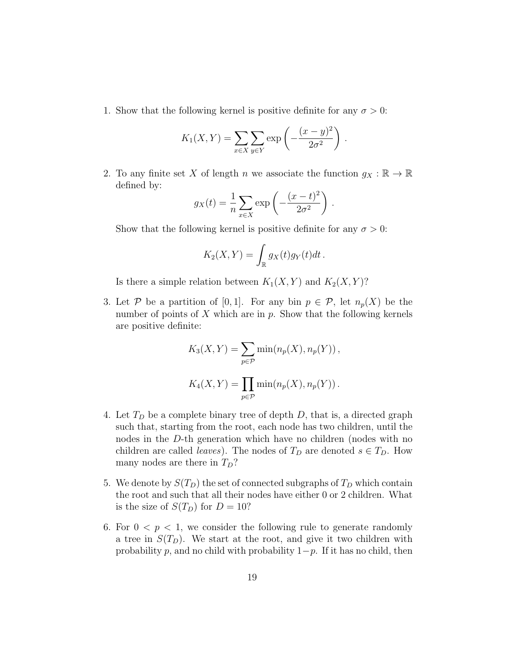1. Show that the following kernel is positive definite for any  $\sigma > 0$ :

$$
K_1(X,Y) = \sum_{x \in X} \sum_{y \in Y} \exp\left(-\frac{(x-y)^2}{2\sigma^2}\right).
$$

2. To any finite set X of length n we associate the function  $g_X : \mathbb{R} \to \mathbb{R}$ defined by:

$$
g_X(t) = \frac{1}{n} \sum_{x \in X} \exp\left(-\frac{(x-t)^2}{2\sigma^2}\right).
$$

Show that the following kernel is positive definite for any  $\sigma > 0$ :

$$
K_2(X,Y) = \int_{\mathbb{R}} g_X(t) g_Y(t) dt.
$$

Is there a simple relation between  $K_1(X, Y)$  and  $K_2(X, Y)$ ?

3. Let P be a partition of [0,1]. For any bin  $p \in \mathcal{P}$ , let  $n_p(X)$  be the number of points of  $X$  which are in  $p$ . Show that the following kernels are positive definite:

$$
K_3(X, Y) = \sum_{p \in \mathcal{P}} \min(n_p(X), n_p(Y)),
$$
  

$$
K_4(X, Y) = \prod_{p \in \mathcal{P}} \min(n_p(X), n_p(Y)).
$$

- 4. Let  $T_D$  be a complete binary tree of depth D, that is, a directed graph such that, starting from the root, each node has two children, until the nodes in the D-th generation which have no children (nodes with no children are called *leaves*). The nodes of  $T_D$  are denoted  $s \in T_D$ . How many nodes are there in  $T_D$ ?
- 5. We denote by  $S(T_D)$  the set of connected subgraphs of  $T_D$  which contain the root and such that all their nodes have either 0 or 2 children. What is the size of  $S(T_D)$  for  $D = 10$ ?
- 6. For  $0 < p < 1$ , we consider the following rule to generate randomly a tree in  $S(T_D)$ . We start at the root, and give it two children with probability p, and no child with probability  $1-p$ . If it has no child, then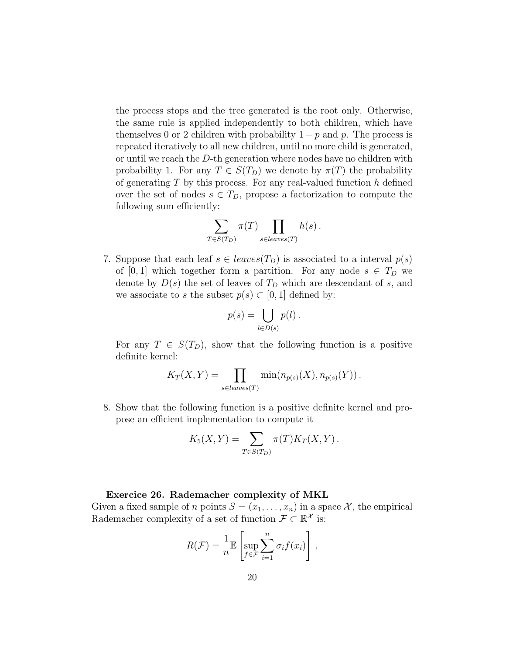the process stops and the tree generated is the root only. Otherwise, the same rule is applied independently to both children, which have themselves 0 or 2 children with probability  $1 - p$  and p. The process is repeated iteratively to all new children, until no more child is generated, or until we reach the D-th generation where nodes have no children with probability 1. For any  $T \in S(T_D)$  we denote by  $\pi(T)$  the probability of generating  $T$  by this process. For any real-valued function  $h$  defined over the set of nodes  $s \in T_D$ , propose a factorization to compute the following sum efficiently:

$$
\sum_{T \in S(T_D)} \pi(T) \prod_{s \in leaves(T)} h(s) .
$$

7. Suppose that each leaf  $s \in leaves(T_D)$  is associated to a interval  $p(s)$ of [0, 1] which together form a partition. For any node  $s \in T_D$  we denote by  $D(s)$  the set of leaves of  $T<sub>D</sub>$  which are descendant of s, and we associate to s the subset  $p(s) \subset [0,1]$  defined by:

$$
p(s) = \bigcup_{l \in D(s)} p(l) .
$$

For any  $T \in S(T_D)$ , show that the following function is a positive definite kernel:

$$
K_T(X,Y) = \prod_{s \in leaves(T)} \min(n_{p(s)}(X), n_{p(s)}(Y)).
$$

8. Show that the following function is a positive definite kernel and propose an efficient implementation to compute it

$$
K_5(X,Y) = \sum_{T \in S(T_D)} \pi(T) K_T(X,Y).
$$

#### Exercice 26. Rademacher complexity of MKL

Given a fixed sample of n points  $S = (x_1, \ldots, x_n)$  in a space X, the empirical Rademacher complexity of a set of function  $\mathcal{F} \subset \mathbb{R}^{\mathcal{X}}$  is:

$$
R(\mathcal{F}) = \frac{1}{n} \mathbb{E} \left[ \sup_{f \in \mathcal{F}} \sum_{i=1}^{n} \sigma_i f(x_i) \right],
$$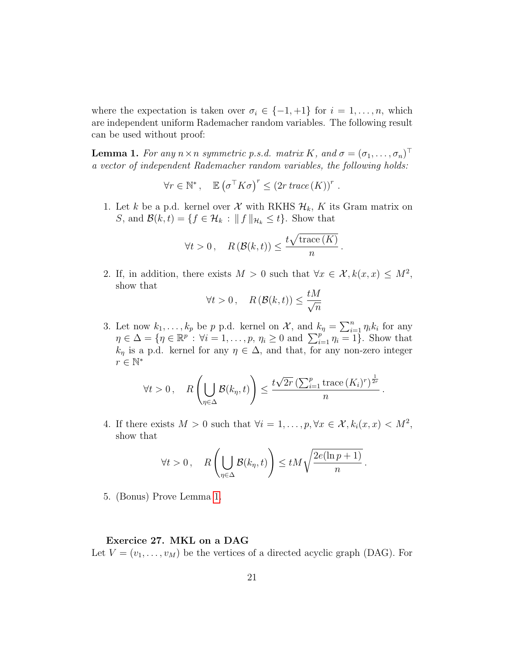where the expectation is taken over  $\sigma_i \in \{-1, +1\}$  for  $i = 1, \ldots, n$ , which are independent uniform Rademacher random variables. The following result can be used without proof:

<span id="page-20-0"></span>**Lemma 1.** For any  $n \times n$  symmetric p.s.d. matrix K, and  $\sigma = (\sigma_1, \ldots, \sigma_n)^\top$ a vector of independent Rademacher random variables, the following holds:

$$
\forall r \in \mathbb{N}^*, \quad \mathbb{E}\left(\sigma^{\top} K \sigma\right)^r \leq \left(2r \; trace\left(K\right)\right)^r.
$$

1. Let k be a p.d. kernel over  $\mathcal X$  with RKHS  $\mathcal H_k$ , K its Gram matrix on S, and  $\mathcal{B}(k,t) = \{f \in \mathcal{H}_k : ||f||_{\mathcal{H}_k} \leq t\}$ . Show that

$$
\forall t > 0, \quad R\left(\mathcal{B}(k, t)\right) \le \frac{t\sqrt{\text{trace}(K)}}{n}.
$$

2. If, in addition, there exists  $M > 0$  such that  $\forall x \in \mathcal{X}, k(x, x) \leq M^2$ , show that  $\overline{t}$ 

$$
\forall t > 0, \quad R\left(\mathcal{B}(k, t)\right) \le \frac{tM}{\sqrt{n}}
$$

3. Let now  $k_1, \ldots, k_p$  be p p.d. kernel on X, and  $k_\eta = \sum_{i=1}^n \eta_i k_i$  for any  $\eta \in \Delta = \{ \eta \in \mathbb{R}^p : \forall i = 1, \ldots, p, \eta_i \geq 0 \text{ and } \sum_{i=1}^p \eta_i = 1 \}.$  Show that  $k_{\eta}$  is a p.d. kernel for any  $\eta \in \Delta$ , and that, for any non-zero integer  $r \in \mathbb{N}^*$ 

$$
\forall t > 0, \quad R\left(\bigcup_{\eta \in \Delta} \mathcal{B}(k_{\eta}, t)\right) \leq \frac{t\sqrt{2r} \left(\sum_{i=1}^p \text{trace}\left(K_i\right)^r\right)^{\frac{1}{2r}}}{n}.
$$

4. If there exists  $M > 0$  such that  $\forall i = 1, \ldots, p, \forall x \in \mathcal{X}, k_i(x, x) < M^2$ , show that

$$
\forall t > 0 \, , \quad R\left(\bigcup_{\eta \in \Delta} \mathcal{B}(k_{\eta}, t)\right) \leq t M \sqrt{\frac{2e(\ln p + 1)}{n}} \, .
$$

5. (Bonus) Prove Lemma [1.](#page-20-0)

# Exercice 27. MKL on a DAG

Let  $V = (v_1, \ldots, v_M)$  be the vertices of a directed acyclic graph (DAG). For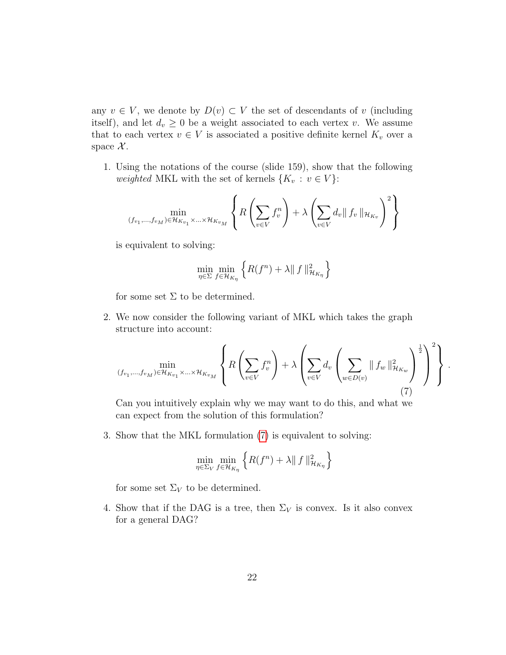any  $v \in V$ , we denote by  $D(v) \subset V$  the set of descendants of v (including itself), and let  $d_v \geq 0$  be a weight associated to each vertex v. We assume that to each vertex  $v \in V$  is associated a positive definite kernel  $K_v$  over a space  $\mathcal{X}$ .

1. Using the notations of the course (slide 159), show that the following weighted MKL with the set of kernels  $\{K_v : v \in V\}$ :

$$
\min_{(f_{v_1},\ldots,f_{v_M})\in\mathcal{H}_{K_{v_1}}\times\ldots\times\mathcal{H}_{K_{v_M}}}\left\{R\left(\sum_{v\in V}f_v^n\right)+\lambda\left(\sum_{v\in V}d_v\|\,f_v\,\|_{\mathcal{H}_{K_v}}\right)^2\right\}
$$

is equivalent to solving:

$$
\min_{\eta \in \Sigma} \min_{f \in \mathcal{H}_{K_{\eta}}} \left\{ R(f^{n}) + \lambda \| f \|_{\mathcal{H}_{K_{\eta}}}^{2} \right\}
$$

for some set  $\Sigma$  to be determined.

2. We now consider the following variant of MKL which takes the graph structure into account:

<span id="page-21-0"></span>
$$
\min_{(f_{v_1},\ldots,f_{v_M})\in\mathcal{H}_{K_{v_1}}\times\ldots\times\mathcal{H}_{K_{v_M}}} \left\{ R\left(\sum_{v\in V} f_v^n\right) + \lambda \left(\sum_{v\in V} d_v \left(\sum_{w\in D(v)} \|f_w\|_{\mathcal{H}_{K_w}}^2\right)^{\frac{1}{2}}\right)^2 \right\}.
$$
\n(7)

Can you intuitively explain why we may want to do this, and what we can expect from the solution of this formulation?

3. Show that the MKL formulation [\(7\)](#page-21-0) is equivalent to solving:

$$
\min_{\eta \in \Sigma_V} \min_{f \in \mathcal{H}_{K_{\eta}}} \left\{ R(f^n) + \lambda \| f \|_{\mathcal{H}_{K_{\eta}}}^2 \right\}
$$

for some set  $\Sigma_V$  to be determined.

4. Show that if the DAG is a tree, then  $\Sigma_V$  is convex. Is it also convex for a general DAG?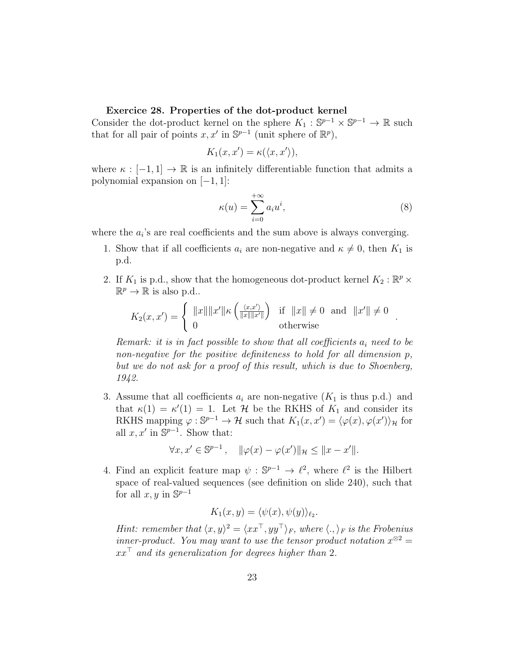#### Exercice 28. Properties of the dot-product kernel

Consider the dot-product kernel on the sphere  $K_1: \mathbb{S}^{p-1} \times \mathbb{S}^{p-1} \to \mathbb{R}$  such that for all pair of points  $x, x'$  in  $\mathbb{S}^{p-1}$  (unit sphere of  $\mathbb{R}^p$ ),

$$
K_1(x, x') = \kappa(\langle x, x' \rangle),
$$

where  $\kappa : [-1,1] \to \mathbb{R}$  is an infinitely differentiable function that admits a polynomial expansion on  $[-1, 1]$ :

$$
\kappa(u) = \sum_{i=0}^{+\infty} a_i u^i,
$$
\n(8)

.

where the  $a_i$ 's are real coefficients and the sum above is always converging.

- 1. Show that if all coefficients  $a_i$  are non-negative and  $\kappa \neq 0$ , then  $K_1$  is p.d.
- 2. If  $K_1$  is p.d., show that the homogeneous dot-product kernel  $K_2 : \mathbb{R}^p \times$  $\mathbb{R}^p \to \mathbb{R}$  is also p.d..

$$
K_2(x, x') = \begin{cases} ||x|| ||x'|| \kappa \left( \frac{\langle x, x' \rangle}{||x|| ||x'||} \right) & \text{if } ||x|| \neq 0 \text{ and } ||x'|| \neq 0 \\ 0 & \text{otherwise} \end{cases}
$$

Remark: it is in fact possible to show that all coefficients  $a_i$  need to be non-negative for the positive definiteness to hold for all dimension p, but we do not ask for a proof of this result, which is due to Shoenberg, 1942.

3. Assume that all coefficients  $a_i$  are non-negative  $(K_1$  is thus p.d.) and that  $\kappa(1) = \kappa'(1) = 1$ . Let H be the RKHS of  $K_1$  and consider its RKHS mapping  $\varphi : \mathbb{S}^{p-1} \to \mathcal{H}$  such that  $K_1(x, x') = \langle \varphi(x), \varphi(x') \rangle_{\mathcal{H}}$  for all  $x, x'$  in  $\mathbb{S}^{p-1}$ . Show that:

$$
\forall x, x' \in \mathbb{S}^{p-1}, \quad \|\varphi(x) - \varphi(x')\|_{\mathcal{H}} \le \|x - x'\|.
$$

4. Find an explicit feature map  $\psi : \mathbb{S}^{p-1} \to \ell^2$ , where  $\ell^2$  is the Hilbert space of real-valued sequences (see definition on slide 240), such that for all  $x, y$  in  $\mathbb{S}^{p-1}$ 

$$
K_1(x, y) = \langle \psi(x), \psi(y) \rangle_{\ell_2}.
$$

Hint: remember that  $\langle x, y \rangle^2 = \langle x x^\top, y y^\top \rangle_F$ , where  $\langle ., \rangle_F$  is the Frobenius inner-product. You may want to use the tensor product notation  $x^{\otimes 2} =$  $xx^{\dagger}$  and its generalization for degrees higher than 2.